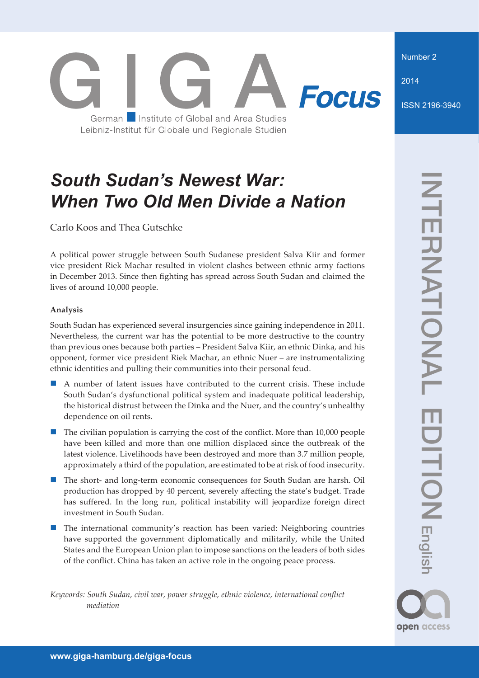Number 2

2014

ISSN 2196-3940

# **Focus** German Institute of Global and Area Studies Leibniz-Institut für Globale und Regionale Studien

## *South Sudan's Newest War: When Two Old Men Divide a Nation*

Carlo Koos and Thea Gutschke

A political power struggle between South Sudanese president Salva Kiir and former vice president Riek Machar resulted in violent clashes between ethnic army factions in December 2013. Since then fighting has spread across South Sudan and claimed the lives of around 10,000 people.

## **Analysis**

South Sudan has experienced several insurgencies since gaining independence in 2011. Nevertheless, the current war has the potential to be more destructive to the country than previous ones because both parties – President Salva Kiir, an ethnic Dinka, and his opponent, former vice president Riek Machar, an ethnic Nuer – are instrumentalizing ethnic identities and pulling their communities into their personal feud.

- A number of latent issues have contributed to the current crisis. These include South Sudan's dysfunctional political system and inadequate political leadership, the historical distrust between the Dinka and the Nuer, and the country's unhealthy dependence on oil rents.
- The civilian population is carrying the cost of the conflict. More than 10,000 people have been killed and more than one million displaced since the outbreak of the latest violence. Livelihoods have been destroyed and more than 3.7 million people, approximately a third of the population, are estimated to be at risk of food insecurity.
- The short- and long-term economic consequences for South Sudan are harsh. Oil production has dropped by 40 percent, severely affecting the state's budget. Trade has suffered. In the long run, political instability will jeopardize foreign direct investment in South Sudan.
- The international community's reaction has been varied: Neighboring countries have supported the government diplomatically and militarily, while the United States and the European Union plan to impose sanctions on the leaders of both sides of the conflict. China has taken an active role in the ongoing peace process.

*Keywords: South Sudan, civil war, power struggle, ethnic violence, international conflict mediation*

open access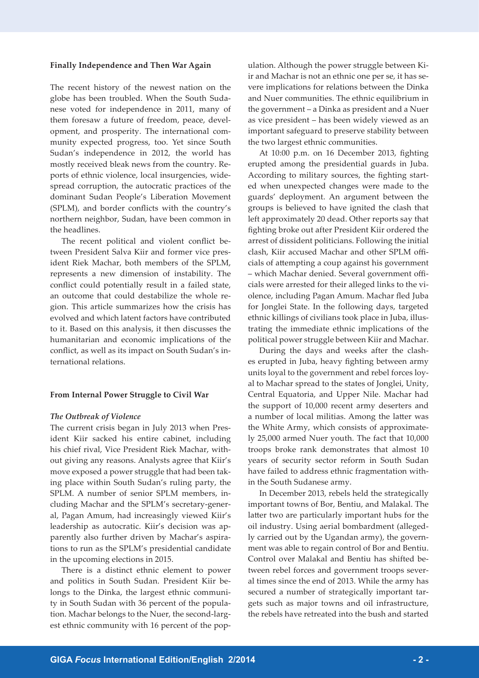#### **Finally Independence and Then War Again**

The recent history of the newest nation on the globe has been troubled. When the South Sudanese voted for independence in 2011, many of them foresaw a future of freedom, peace, development, and prosperity. The international community expected progress, too. Yet since South Sudan's independence in 2012, the world has mostly received bleak news from the country. Reports of ethnic violence, local insurgencies, widespread corruption, the autocratic practices of the dominant Sudan People's Liberation Movement (SPLM), and border conflicts with the country's northern neighbor, Sudan, have been common in the headlines.

The recent political and violent conflict between President Salva Kiir and former vice president Riek Machar, both members of the SPLM, represents a new dimension of instability. The conflict could potentially result in a failed state, an outcome that could destabilize the whole region. This article summarizes how the crisis has evolved and which latent factors have contributed to it. Based on this analysis, it then discusses the humanitarian and economic implications of the conflict, as well as its impact on South Sudan's international relations.

#### **From Internal Power Struggle to Civil War**

#### *The Outbreak of Violence*

The current crisis began in July 2013 when President Kiir sacked his entire cabinet, including his chief rival, Vice President Riek Machar, without giving any reasons. Analysts agree that Kiir's move exposed a power struggle that had been taking place within South Sudan's ruling party, the SPLM. A number of senior SPLM members, including Machar and the SPLM's secretary-general, Pagan Amum, had increasingly viewed Kiir's leadership as autocratic. Kiir's decision was apparently also further driven by Machar's aspirations to run as the SPLM's presidential candidate in the upcoming elections in 2015.

There is a distinct ethnic element to power and politics in South Sudan. President Kiir belongs to the Dinka, the largest ethnic community in South Sudan with 36 percent of the population. Machar belongs to the Nuer, the second-largest ethnic community with 16 percent of the population. Although the power struggle between Kiir and Machar is not an ethnic one per se, it has severe implications for relations between the Dinka and Nuer communities. The ethnic equilibrium in the government – a Dinka as president and a Nuer as vice president – has been widely viewed as an important safeguard to preserve stability between the two largest ethnic communities.

At 10:00 p.m. on 16 December 2013, fighting erupted among the presidential guards in Juba. According to military sources, the fighting started when unexpected changes were made to the guards' deployment. An argument between the groups is believed to have ignited the clash that left approximately 20 dead. Other reports say that fighting broke out after President Kiir ordered the arrest of dissident politicians. Following the initial clash, Kiir accused Machar and other SPLM officials of attempting a coup against his government – which Machar denied. Several government officials were arrested for their alleged links to the violence, including Pagan Amum. Machar fled Juba for Jonglei State. In the following days, targeted ethnic killings of civilians took place in Juba, illustrating the immediate ethnic implications of the political power struggle between Kiir and Machar.

During the days and weeks after the clashes erupted in Juba, heavy fighting between army units loyal to the government and rebel forces loyal to Machar spread to the states of Jonglei, Unity, Central Equatoria, and Upper Nile. Machar had the support of 10,000 recent army deserters and a number of local militias. Among the latter was the White Army, which consists of approximately 25,000 armed Nuer youth. The fact that 10,000 troops broke rank demonstrates that almost 10 years of security sector reform in South Sudan have failed to address ethnic fragmentation within the South Sudanese army.

In December 2013, rebels held the strategically important towns of Bor, Bentiu, and Malakal. The latter two are particularly important hubs for the oil industry. Using aerial bombardment (allegedly carried out by the Ugandan army), the government was able to regain control of Bor and Bentiu. Control over Malakal and Bentiu has shifted between rebel forces and government troops several times since the end of 2013. While the army has secured a number of strategically important targets such as major towns and oil infrastructure, the rebels have retreated into the bush and started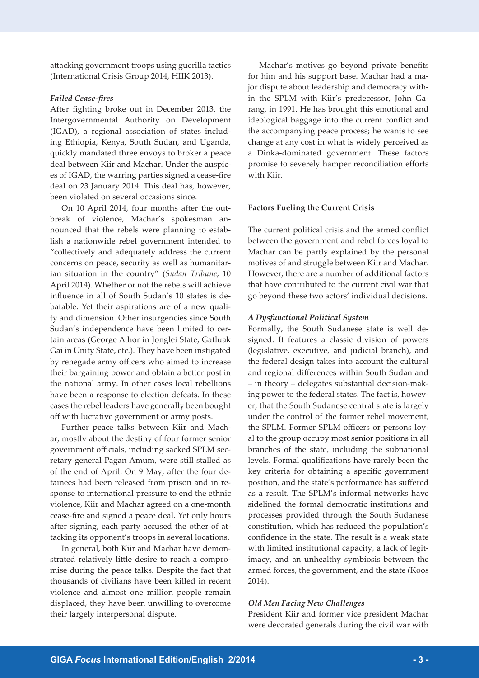attacking government troops using guerilla tactics (International Crisis Group 2014, HIIK 2013).

#### *Failed Cease-fires*

After fighting broke out in December 2013, the Intergovernmental Authority on Development (IGAD), a regional association of states including Ethiopia, Kenya, South Sudan, and Uganda, quickly mandated three envoys to broker a peace deal between Kiir and Machar. Under the auspices of IGAD, the warring parties signed a cease-fire deal on 23 January 2014. This deal has, however, been violated on several occasions since.

On 10 April 2014, four months after the outbreak of violence, Machar's spokesman announced that the rebels were planning to establish a nationwide rebel government intended to "collectively and adequately address the current concerns on peace, security as well as humanitarian situation in the country" (*Sudan Tribune*, 10 April 2014). Whether or not the rebels will achieve influence in all of South Sudan's 10 states is debatable. Yet their aspirations are of a new quality and dimension. Other insurgencies since South Sudan's independence have been limited to certain areas (George Athor in Jonglei State, Gatluak Gai in Unity State, etc.). They have been instigated by renegade army officers who aimed to increase their bargaining power and obtain a better post in the national army. In other cases local rebellions have been a response to election defeats. In these cases the rebel leaders have generally been bought off with lucrative government or army posts.

Further peace talks between Kiir and Machar, mostly about the destiny of four former senior government officials, including sacked SPLM secretary-general Pagan Amum, were still stalled as of the end of April. On 9 May, after the four detainees had been released from prison and in response to international pressure to end the ethnic violence, Kiir and Machar agreed on a one-month cease-fire and signed a peace deal. Yet only hours after signing, each party accused the other of attacking its opponent's troops in several locations.

In general, both Kiir and Machar have demonstrated relatively little desire to reach a compromise during the peace talks. Despite the fact that thousands of civilians have been killed in recent violence and almost one million people remain displaced, they have been unwilling to overcome their largely interpersonal dispute.

Machar's motives go beyond private benefits for him and his support base. Machar had a major dispute about leadership and democracy within the SPLM with Kiir's predecessor, John Garang, in 1991. He has brought this emotional and ideological baggage into the current conflict and the accompanying peace process; he wants to see change at any cost in what is widely perceived as a Dinka-dominated government. These factors promise to severely hamper reconciliation efforts with Kiir.

#### **Factors Fueling the Current Crisis**

The current political crisis and the armed conflict between the government and rebel forces loyal to Machar can be partly explained by the personal motives of and struggle between Kiir and Machar. However, there are a number of additional factors that have contributed to the current civil war that go beyond these two actors' individual decisions.

#### *A Dysfunctional Political System*

Formally, the South Sudanese state is well designed. It features a classic division of powers (legislative, executive, and judicial branch), and the federal design takes into account the cultural and regional differences within South Sudan and – in theory – delegates substantial decision-making power to the federal states. The fact is, however, that the South Sudanese central state is largely under the control of the former rebel movement, the SPLM. Former SPLM officers or persons loyal to the group occupy most senior positions in all branches of the state, including the subnational levels. Formal qualifications have rarely been the key criteria for obtaining a specific government position, and the state's performance has suffered as a result. The SPLM's informal networks have sidelined the formal democratic institutions and processes provided through the South Sudanese constitution, which has reduced the population's confidence in the state. The result is a weak state with limited institutional capacity, a lack of legitimacy, and an unhealthy symbiosis between the armed forces, the government, and the state (Koos 2014).

### *Old Men Facing New Challenges*

President Kiir and former vice president Machar were decorated generals during the civil war with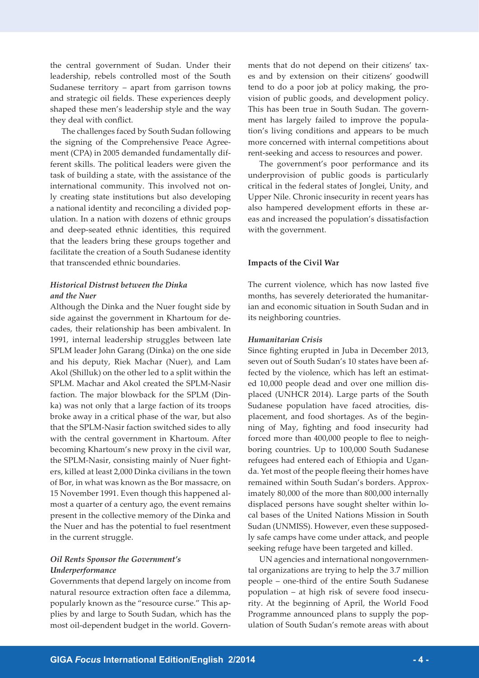the central government of Sudan. Under their leadership, rebels controlled most of the South Sudanese territory – apart from garrison towns and strategic oil fields. These experiences deeply shaped these men's leadership style and the way they deal with conflict.

The challenges faced by South Sudan following the signing of the Comprehensive Peace Agreement (CPA) in 2005 demanded fundamentally different skills. The political leaders were given the task of building a state, with the assistance of the international community. This involved not only creating state institutions but also developing a national identity and reconciling a divided population. In a nation with dozens of ethnic groups and deep-seated ethnic identities, this required that the leaders bring these groups together and facilitate the creation of a South Sudanese identity that transcended ethnic boundaries.

## *Historical Distrust between the Dinka and the Nuer*

Although the Dinka and the Nuer fought side by side against the government in Khartoum for decades, their relationship has been ambivalent. In 1991, internal leadership struggles between late SPLM leader John Garang (Dinka) on the one side and his deputy, Riek Machar (Nuer), and Lam Akol (Shilluk) on the other led to a split within the SPLM. Machar and Akol created the SPLM-Nasir faction. The major blowback for the SPLM (Dinka) was not only that a large faction of its troops broke away in a critical phase of the war, but also that the SPLM-Nasir faction switched sides to ally with the central government in Khartoum. After becoming Khartoum's new proxy in the civil war, the SPLM-Nasir, consisting mainly of Nuer fighters, killed at least 2,000 Dinka civilians in the town of Bor, in what was known as the Bor massacre, on 15 November 1991. Even though this happened almost a quarter of a century ago, the event remains present in the collective memory of the Dinka and the Nuer and has the potential to fuel resentment in the current struggle.

## *Oil Rents Sponsor the Government's Underperformance*

Governments that depend largely on income from natural resource extraction often face a dilemma, popularly known as the "resource curse." This applies by and large to South Sudan, which has the most oil-dependent budget in the world. Governments that do not depend on their citizens' taxes and by extension on their citizens' goodwill tend to do a poor job at policy making, the provision of public goods, and development policy. This has been true in South Sudan. The government has largely failed to improve the population's living conditions and appears to be much more concerned with internal competitions about rent-seeking and access to resources and power.

The government's poor performance and its underprovision of public goods is particularly critical in the federal states of Jonglei, Unity, and Upper Nile. Chronic insecurity in recent years has also hampered development efforts in these areas and increased the population's dissatisfaction with the government.

## **Impacts of the Civil War**

The current violence, which has now lasted five months, has severely deteriorated the humanitarian and economic situation in South Sudan and in its neighboring countries.

### *Humanitarian Crisis*

Since fighting erupted in Juba in December 2013, seven out of South Sudan's 10 states have been affected by the violence, which has left an estimated 10,000 people dead and over one million displaced (UNHCR 2014). Large parts of the South Sudanese population have faced atrocities, displacement, and food shortages. As of the beginning of May, fighting and food insecurity had forced more than 400,000 people to flee to neighboring countries. Up to 100,000 South Sudanese refugees had entered each of Ethiopia and Uganda. Yet most of the people fleeing their homes have remained within South Sudan's borders. Approximately 80,000 of the more than 800,000 internally displaced persons have sought shelter within local bases of the United Nations Mission in South Sudan (UNMISS). However, even these supposedly safe camps have come under attack, and people seeking refuge have been targeted and killed.

UN agencies and international nongovernmental organizations are trying to help the 3.7 million people – one-third of the entire South Sudanese population – at high risk of severe food insecurity. At the beginning of April, the World Food Programme announced plans to supply the population of South Sudan's remote areas with about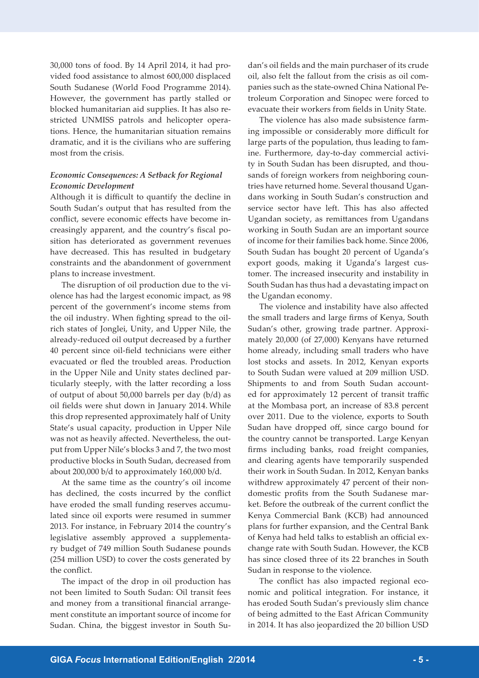30,000 tons of food. By 14 April 2014, it had provided food assistance to almost 600,000 displaced South Sudanese (World Food Programme 2014). However, the government has partly stalled or blocked humanitarian aid supplies. It has also restricted UNMISS patrols and helicopter operations. Hence, the humanitarian situation remains dramatic, and it is the civilians who are suffering most from the crisis.

## *Economic Consequences: A Setback for Regional Economic Development*

Although it is difficult to quantify the decline in South Sudan's output that has resulted from the conflict, severe economic effects have become increasingly apparent, and the country's fiscal position has deteriorated as government revenues have decreased. This has resulted in budgetary constraints and the abandonment of government plans to increase investment.

The disruption of oil production due to the violence has had the largest economic impact, as 98 percent of the government's income stems from the oil industry. When fighting spread to the oilrich states of Jonglei, Unity, and Upper Nile, the already-reduced oil output decreased by a further 40 percent since oil-field technicians were either evacuated or fled the troubled areas. Production in the Upper Nile and Unity states declined particularly steeply, with the latter recording a loss of output of about 50,000 barrels per day (b/d) as oil fields were shut down in January 2014. While this drop represented approximately half of Unity State's usual capacity, production in Upper Nile was not as heavily affected. Nevertheless, the output from Upper Nile's blocks 3 and 7, the two most productive blocks in South Sudan, decreased from about 200,000 b/d to approximately 160,000 b/d.

At the same time as the country's oil income has declined, the costs incurred by the conflict have eroded the small funding reserves accumulated since oil exports were resumed in summer 2013. For instance, in February 2014 the country's legislative assembly approved a supplementary budget of 749 million South Sudanese pounds (254 million USD) to cover the costs generated by the conflict.

The impact of the drop in oil production has not been limited to South Sudan: Oil transit fees and money from a transitional financial arrangement constitute an important source of income for Sudan. China, the biggest investor in South Sudan's oil fields and the main purchaser of its crude oil, also felt the fallout from the crisis as oil companies such as the state-owned China National Petroleum Corporation and Sinopec were forced to evacuate their workers from fields in Unity State.

The violence has also made subsistence farming impossible or considerably more difficult for large parts of the population, thus leading to famine. Furthermore, day-to-day commercial activity in South Sudan has been disrupted, and thousands of foreign workers from neighboring countries have returned home. Several thousand Ugandans working in South Sudan's construction and service sector have left. This has also affected Ugandan society, as remittances from Ugandans working in South Sudan are an important source of income for their families back home. Since 2006, South Sudan has bought 20 percent of Uganda's export goods, making it Uganda's largest customer. The increased insecurity and instability in South Sudan has thus had a devastating impact on the Ugandan economy.

The violence and instability have also affected the small traders and large firms of Kenya, South Sudan's other, growing trade partner. Approximately 20,000 (of 27,000) Kenyans have returned home already, including small traders who have lost stocks and assets. In 2012, Kenyan exports to South Sudan were valued at 209 million USD. Shipments to and from South Sudan accounted for approximately 12 percent of transit traffic at the Mombasa port, an increase of 83.8 percent over 2011. Due to the violence, exports to South Sudan have dropped off, since cargo bound for the country cannot be transported. Large Kenyan firms including banks, road freight companies, and clearing agents have temporarily suspended their work in South Sudan. In 2012, Kenyan banks withdrew approximately 47 percent of their nondomestic profits from the South Sudanese market. Before the outbreak of the current conflict the Kenya Commercial Bank (KCB) had announced plans for further expansion, and the Central Bank of Kenya had held talks to establish an official exchange rate with South Sudan. However, the KCB has since closed three of its 22 branches in South Sudan in response to the violence.

The conflict has also impacted regional economic and political integration. For instance, it has eroded South Sudan's previously slim chance of being admitted to the East African Community in 2014. It has also jeopardized the 20 billion USD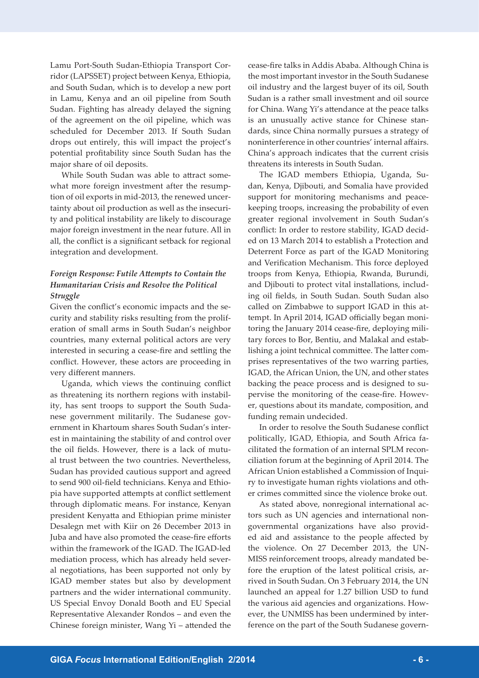Lamu Port-South Sudan-Ethiopia Transport Corridor (LAPSSET) project between Kenya, Ethiopia, and South Sudan, which is to develop a new port in Lamu, Kenya and an oil pipeline from South Sudan. Fighting has already delayed the signing of the agreement on the oil pipeline, which was scheduled for December 2013. If South Sudan drops out entirely, this will impact the project's potential profitability since South Sudan has the major share of oil deposits.

While South Sudan was able to attract somewhat more foreign investment after the resumption of oil exports in mid-2013, the renewed uncertainty about oil production as well as the insecurity and political instability are likely to discourage major foreign investment in the near future. All in all, the conflict is a significant setback for regional integration and development.

## *Foreign Response: Futile Attempts to Contain the Humanitarian Crisis and Resolve the Political Struggle*

Given the conflict's economic impacts and the security and stability risks resulting from the proliferation of small arms in South Sudan's neighbor countries, many external political actors are very interested in securing a cease-fire and settling the conflict. However, these actors are proceeding in very different manners.

Uganda, which views the continuing conflict as threatening its northern regions with instability, has sent troops to support the South Sudanese government militarily. The Sudanese government in Khartoum shares South Sudan's interest in maintaining the stability of and control over the oil fields. However, there is a lack of mutual trust between the two countries. Nevertheless, Sudan has provided cautious support and agreed to send 900 oil-field technicians. Kenya and Ethiopia have supported attempts at conflict settlement through diplomatic means. For instance, Kenyan president Kenyatta and Ethiopian prime minister Desalegn met with Kiir on 26 December 2013 in Juba and have also promoted the cease-fire efforts within the framework of the IGAD. The IGAD-led mediation process, which has already held several negotiations, has been supported not only by IGAD member states but also by development partners and the wider international community. US Special Envoy Donald Booth and EU Special Representative Alexander Rondos – and even the Chinese foreign minister, Wang Yi – attended the cease-fire talks in Addis Ababa. Although China is the most important investor in the South Sudanese oil industry and the largest buyer of its oil, South Sudan is a rather small investment and oil source for China. Wang Yi's attendance at the peace talks is an unusually active stance for Chinese standards, since China normally pursues a strategy of noninterference in other countries' internal affairs. China's approach indicates that the current crisis threatens its interests in South Sudan.

The IGAD members Ethiopia, Uganda, Sudan, Kenya, Djibouti, and Somalia have provided support for monitoring mechanisms and peacekeeping troops, increasing the probability of even greater regional involvement in South Sudan's conflict: In order to restore stability, IGAD decided on 13 March 2014 to establish a Protection and Deterrent Force as part of the IGAD Monitoring and Verification Mechanism. This force deployed troops from Kenya, Ethiopia, Rwanda, Burundi, and Djibouti to protect vital installations, including oil fields, in South Sudan. South Sudan also called on Zimbabwe to support IGAD in this attempt. In April 2014, IGAD officially began monitoring the January 2014 cease-fire, deploying military forces to Bor, Bentiu, and Malakal and establishing a joint technical committee. The latter comprises representatives of the two warring parties, IGAD, the African Union, the UN, and other states backing the peace process and is designed to supervise the monitoring of the cease-fire. However, questions about its mandate, composition, and funding remain undecided.

In order to resolve the South Sudanese conflict politically, IGAD, Ethiopia, and South Africa facilitated the formation of an internal SPLM reconciliation forum at the beginning of April 2014. The African Union established a Commission of Inquiry to investigate human rights violations and other crimes committed since the violence broke out.

As stated above, nonregional international actors such as UN agencies and international nongovernmental organizations have also provided aid and assistance to the people affected by the violence. On 27 December 2013, the UN-MISS reinforcement troops, already mandated before the eruption of the latest political crisis, arrived in South Sudan. On 3 February 2014, the UN launched an appeal for 1.27 billion USD to fund the various aid agencies and organizations. However, the UNMISS has been undermined by interference on the part of the South Sudanese govern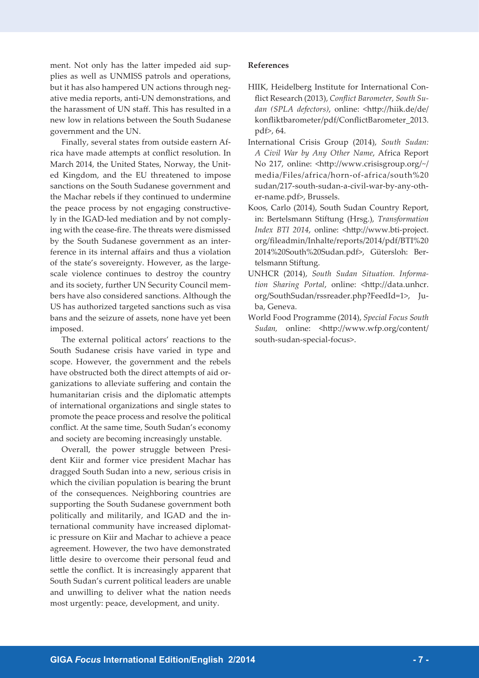ment. Not only has the latter impeded aid supplies as well as UNMISS patrols and operations, but it has also hampered UN actions through negative media reports, anti-UN demonstrations, and the harassment of UN staff. This has resulted in a new low in relations between the South Sudanese government and the UN.

Finally, several states from outside eastern Africa have made attempts at conflict resolution. In March 2014, the United States, Norway, the United Kingdom, and the EU threatened to impose sanctions on the South Sudanese government and the Machar rebels if they continued to undermine the peace process by not engaging constructively in the IGAD-led mediation and by not complying with the cease-fire. The threats were dismissed by the South Sudanese government as an interference in its internal affairs and thus a violation of the state's sovereignty. However, as the largescale violence continues to destroy the country and its society, further UN Security Council members have also considered sanctions. Although the US has authorized targeted sanctions such as visa bans and the seizure of assets, none have yet been imposed.

The external political actors' reactions to the South Sudanese crisis have varied in type and scope. However, the government and the rebels have obstructed both the direct attempts of aid organizations to alleviate suffering and contain the humanitarian crisis and the diplomatic attempts of international organizations and single states to promote the peace process and resolve the political conflict. At the same time, South Sudan's economy and society are becoming increasingly unstable.

Overall, the power struggle between President Kiir and former vice president Machar has dragged South Sudan into a new, serious crisis in which the civilian population is bearing the brunt of the consequences. Neighboring countries are supporting the South Sudanese government both politically and militarily, and IGAD and the international community have increased diplomatic pressure on Kiir and Machar to achieve a peace agreement. However, the two have demonstrated little desire to overcome their personal feud and settle the conflict. It is increasingly apparent that South Sudan's current political leaders are unable and unwilling to deliver what the nation needs most urgently: peace, development, and unity.

## **References**

- HIIK, Heidelberg Institute for International Conflict Research (2013), *Conflict Barometer, South Sudan (SPLA defectors)*, online: <http://hiik.de/de/ konfliktbarometer/pdf/ConflictBarometer\_2013. pdf>, 64.
- International Crisis Group (2014), *South Sudan: A Civil War by Any Other Name*, Africa Report No 217, online: <http://www.crisisgroup.org/~/ media/Files/africa/horn-of-africa/south%20 sudan/217-south-sudan-a-civil-war-by-any-other-name.pdf>, Brussels.
- Koos, Carlo (2014), South Sudan Country Report, in: Bertelsmann Stiftung (Hrsg.), *Transformation Index BTI 2014*, online: <http://www.bti-project. org/fileadmin/Inhalte/reports/2014/pdf/BTI%20 2014%20South%20Sudan.pdf>, Gütersloh: Bertelsmann Stiftung.
- UNHCR (2014), *South Sudan Situation. Information Sharing Portal*, online: <http://data.unhcr. org/SouthSudan/rssreader.php?FeedId=1>, Juba, Geneva.
- World Food Programme (2014), *Special Focus South Sudan,* online: <http://www.wfp.org/content/ south-sudan-special-focus>.